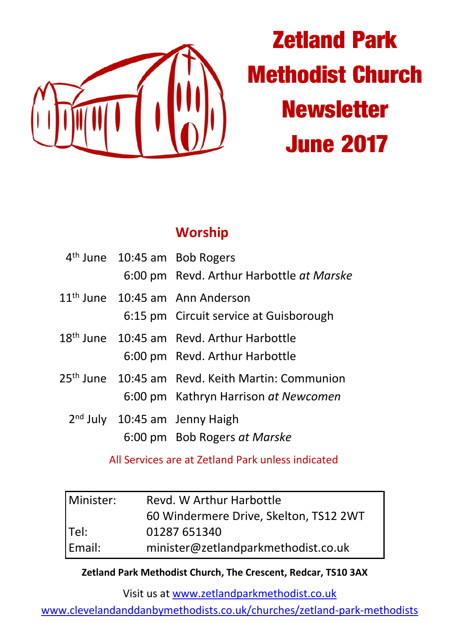

# **Zetland Park Methodist Church Newsletter June 2017**

### **Worship**

|  | 4 <sup>th</sup> June 10:45 am Bob Rogers<br>6:00 pm Revd. Arthur Harbottle at Marske                 |
|--|------------------------------------------------------------------------------------------------------|
|  | 11 <sup>th</sup> June 10:45 am Ann Anderson<br>6:15 pm Circuit service at Guisborough                |
|  | 18 <sup>th</sup> June 10:45 am Revd. Arthur Harbottle<br>6:00 pm Revd. Arthur Harbottle              |
|  | 25 <sup>th</sup> June 10:45 am Revd. Keith Martin: Communion<br>6:00 pm Kathryn Harrison at Newcomen |
|  | $2nd$ July 10:45 am Jenny Haigh<br>6:00 pm Bob Rogers at Marske                                      |

All Services are at Zetland Park unless indicated

| Minister: | Revd. W Arthur Harbottle               |  |
|-----------|----------------------------------------|--|
|           | 60 Windermere Drive, Skelton, TS12 2WT |  |
| Tel:      | 01287 651340                           |  |
| Email:    | minister@zetlandparkmethodist.co.uk    |  |

#### **Zetland Park Methodist Church, The Crescent, Redcar, TS10 3AX**

Visit us at www.zetlandparkmethodist.co.uk

www.clevelandanddanbymethodists.co.uk/churches/zetland-park-methodists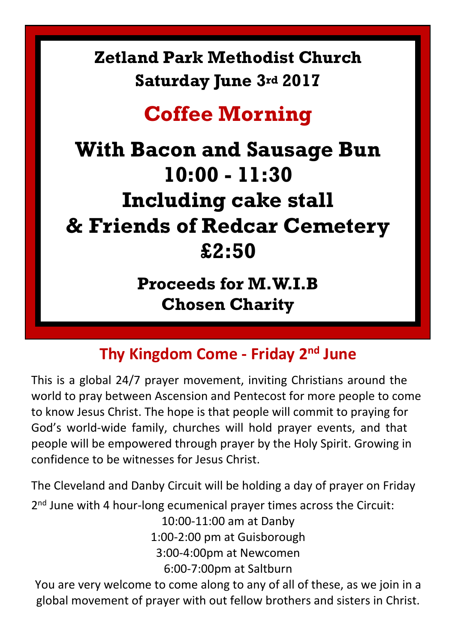# **Zetland Park Methodist Church Saturday June 3rd 2017**

# **Coffee Morning**

# **With Bacon and Sausage Bun 10:00 - 11:30 Including cake stall & Friends of Redcar Cemetery £2:50**

**Proceeds for M.W.I.B Chosen Charity**

# **Thy Kingdom Come - Friday 2nd June**

This is a global 24/7 prayer movement, inviting Christians around the world to pray between Ascension and Pentecost for more people to come to know Jesus Christ. The hope is that people will commit to praying for God's world-wide family, churches will hold prayer events, and that people will be empowered through prayer by the Holy Spirit. Growing in confidence to be witnesses for Jesus Christ.

The Cleveland and Danby Circuit will be holding a day of prayer on Friday 2<sup>nd</sup> June with 4 hour-long ecumenical prayer times across the Circuit: 10:00-11:00 am at Danby

1:00-2:00 pm at Guisborough 3:00-4:00pm at Newcomen

6:00-7:00pm at Saltburn

You are very welcome to come along to any of all of these, as we join in a global movement of prayer with out fellow brothers and sisters in Christ.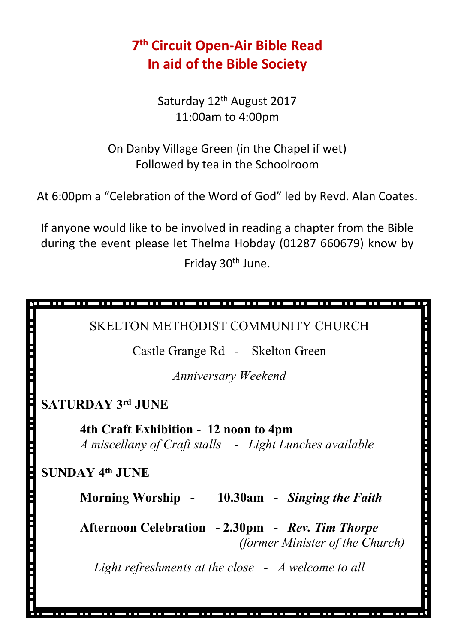## **7 th Circuit Open-Air Bible Read In aid of the Bible Society**

Saturday 12<sup>th</sup> August 2017 11:00am to 4:00pm

On Danby Village Green (in the Chapel if wet) Followed by tea in the Schoolroom

At 6:00pm a "Celebration of the Word of God" led by Revd. Alan Coates.

If anyone would like to be involved in reading a chapter from the Bible during the event please let Thelma Hobday (01287 660679) know by Friday 30th June.